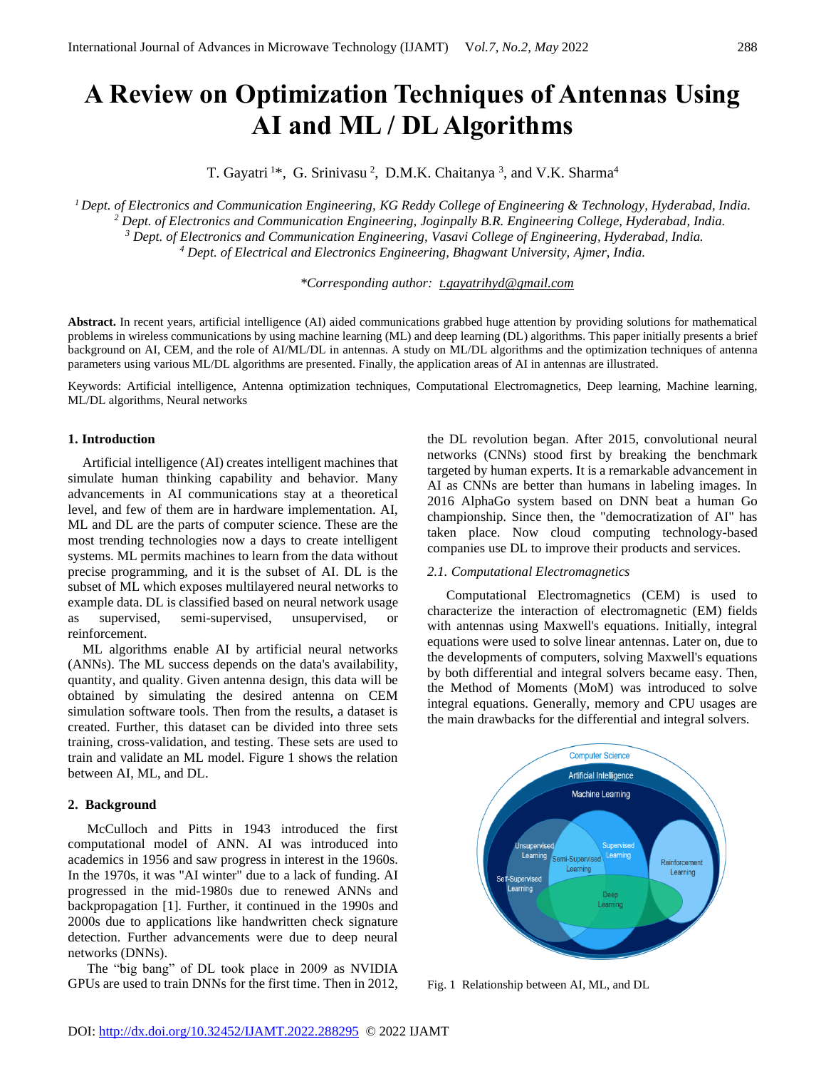# **A Review on Optimization Techniques of Antennas Using AI and ML / DL Algorithms**

T. Gayatri<sup>1\*</sup>, G. Srinivasu<sup>2</sup>, D.M.K. Chaitanya<sup>3</sup>, and V.K. Sharma<sup>4</sup>

*Dept. of Electronics and Communication Engineering, KG Reddy College of Engineering & Technology, Hyderabad, India. Dept. of Electronics and Communication Engineering, Joginpally B.R. Engineering College, Hyderabad, India. Dept. of Electronics and Communication Engineering, Vasavi College of Engineering, Hyderabad, India. Dept. of Electrical and Electronics Engineering, Bhagwant University, Ajmer, India.*

*\*Corresponding author: [t.gayatrihyd@gmail.com](mailto:t.gayatrihyd@gmail.com)* 

**Abstract.** In recent years, artificial intelligence (AI) aided communications grabbed huge attention by providing solutions for mathematical problems in wireless communications by using machine learning (ML) and deep learning (DL) algorithms. This paper initially presents a brief background on AI, CEM, and the role of AI/ML/DL in antennas. A study on ML/DL algorithms and the optimization techniques of antenna parameters using various ML/DL algorithms are presented. Finally, the application areas of AI in antennas are illustrated.

Keywords: Artificial intelligence, Antenna optimization techniques, Computational Electromagnetics, Deep learning, Machine learning, ML/DL algorithms, Neural networks

## **1. Introduction**

Artificial intelligence (AI) creates intelligent machines that simulate human thinking capability and behavior. Many advancements in AI communications stay at a theoretical level, and few of them are in hardware implementation. AI, ML and DL are the parts of computer science. These are the most trending technologies now a days to create intelligent systems. ML permits machines to learn from the data without precise programming, and it is the subset of AI. DL is the subset of ML which exposes multilayered neural networks to example data. DL is classified based on neural network usage as supervised, semi-supervised, unsupervised, or reinforcement.

ML algorithms enable AI by artificial neural networks (ANNs). The ML success depends on the data's availability, quantity, and quality. Given antenna design, this data will be obtained by simulating the desired antenna on CEM simulation software tools. Then from the results, a dataset is created. Further, this dataset can be divided into three sets training, cross-validation, and testing. These sets are used to train and validate an ML model. Figure 1 shows the relation between AI, ML, and DL.

## **2. Background**

McCulloch and Pitts in 1943 introduced the first computational model of ANN. AI was introduced into academics in 1956 and saw progress in interest in the 1960s. In the 1970s, it was "AI winter" due to a lack of funding. AI progressed in the mid-1980s due to renewed ANNs and backpropagation [1]. Further, it continued in the 1990s and 2000s due to applications like handwritten check signature detection. Further advancements were due to deep neural networks (DNNs).

The "big bang" of DL took place in 2009 as NVIDIA GPUs are used to train DNNs for the first time. Then in 2012, the DL revolution began. After 2015, convolutional neural networks (CNNs) stood first by breaking the benchmark targeted by human experts. It is a remarkable advancement in AI as CNNs are better than humans in labeling images. In 2016 AlphaGo system based on DNN beat a human Go championship. Since then, the "democratization of AI" has taken place. Now cloud computing technology-based companies use DL to improve their products and services.

#### *2.1. Computational Electromagnetics*

Computational Electromagnetics (CEM) is used to characterize the interaction of electromagnetic (EM) fields with antennas using Maxwell's equations. Initially, integral equations were used to solve linear antennas. Later on, due to the developments of computers, solving Maxwell's equations by both differential and integral solvers became easy. Then, the Method of Moments (MoM) was introduced to solve integral equations. Generally, memory and CPU usages are the main drawbacks for the differential and integral solvers.



Fig. 1 Relationship between AI, ML, and DL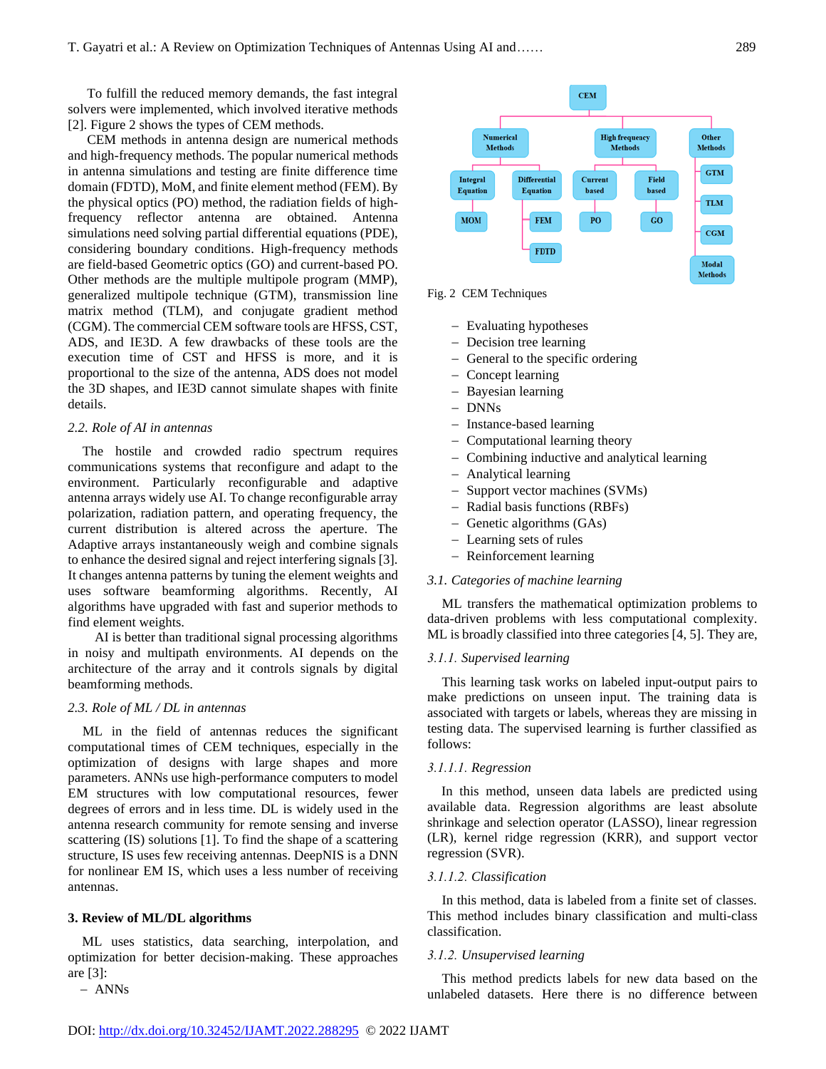To fulfill the reduced memory demands, the fast integral solvers were implemented, which involved iterative methods [2]. Figure 2 shows the types of CEM methods.

CEM methods in antenna design are numerical methods and high-frequency methods. The popular numerical methods in antenna simulations and testing are finite difference time domain (FDTD), MoM, and finite element method (FEM). By the physical optics (PO) method, the radiation fields of highfrequency reflector antenna are obtained. Antenna simulations need solving partial differential equations (PDE), considering boundary conditions. High-frequency methods are field-based Geometric optics (GO) and current-based PO. Other methods are the multiple multipole program (MMP), generalized multipole technique (GTM), transmission line matrix method (TLM), and conjugate gradient method (CGM). The commercial CEM software tools are HFSS, CST, ADS, and IE3D. A few drawbacks of these tools are the execution time of CST and HFSS is more, and it is proportional to the size of the antenna, ADS does not model the 3D shapes, and IE3D cannot simulate shapes with finite details.

#### *2.2. Role of AI in antennas*

The hostile and crowded radio spectrum requires communications systems that reconfigure and adapt to the environment. Particularly reconfigurable and adaptive antenna arrays widely use AI. To change reconfigurable array polarization, radiation pattern, and operating frequency, the current distribution is altered across the aperture. The Adaptive arrays instantaneously weigh and combine signals to enhance the desired signal and reject interfering signals [3]. It changes antenna patterns by tuning the element weights and uses software beamforming algorithms. Recently, AI algorithms have upgraded with fast and superior methods to find element weights.

AI is better than traditional signal processing algorithms in noisy and multipath environments. AI depends on the architecture of the array and it controls signals by digital beamforming methods.

#### *2.3. Role of ML / DL in antennas*

ML in the field of antennas reduces the significant computational times of CEM techniques, especially in the optimization of designs with large shapes and more parameters. ANNs use high-performance computers to model EM structures with low computational resources, fewer degrees of errors and in less time. DL is widely used in the antenna research community for remote sensing and inverse scattering (IS) solutions [1]. To find the shape of a scattering structure, IS uses few receiving antennas. DeepNIS is a DNN for nonlinear EM IS, which uses a less number of receiving antennas.

#### **3. Review of ML/DL algorithms**

ML uses statistics, data searching, interpolation, and optimization for better decision-making. These approaches are [3]:

− ANNs



Fig. 2 CEM Techniques

- − Evaluating hypotheses
- − Decision tree learning
- − General to the specific ordering
- − Concept learning
- − Bayesian learning
- − DNNs
- − Instance-based learning
- − Computational learning theory
- − Combining inductive and analytical learning
- − Analytical learning
- − Support vector machines (SVMs)
- − Radial basis functions (RBFs)
- − Genetic algorithms (GAs)
- − Learning sets of rules
- − Reinforcement learning

#### *3.1. Categories of machine learning*

ML transfers the mathematical optimization problems to data-driven problems with less computational complexity. ML is broadly classified into three categories [4, 5]. They are,

## *3.1.1. Supervised learning*

This learning task works on labeled input-output pairs to make predictions on unseen input. The training data is associated with targets or labels, whereas they are missing in testing data. The supervised learning is further classified as follows:

#### *3.1.1.1. Regression*

In this method, unseen data labels are predicted using available data. Regression algorithms are least absolute shrinkage and selection operator (LASSO), linear regression (LR), kernel ridge regression (KRR), and support vector regression (SVR).

## *3.1.1.2. Classification*

In this method, data is labeled from a finite set of classes. This method includes binary classification and multi-class classification.

## *3.1.2. Unsupervised learning*

This method predicts labels for new data based on the unlabeled datasets. Here there is no difference between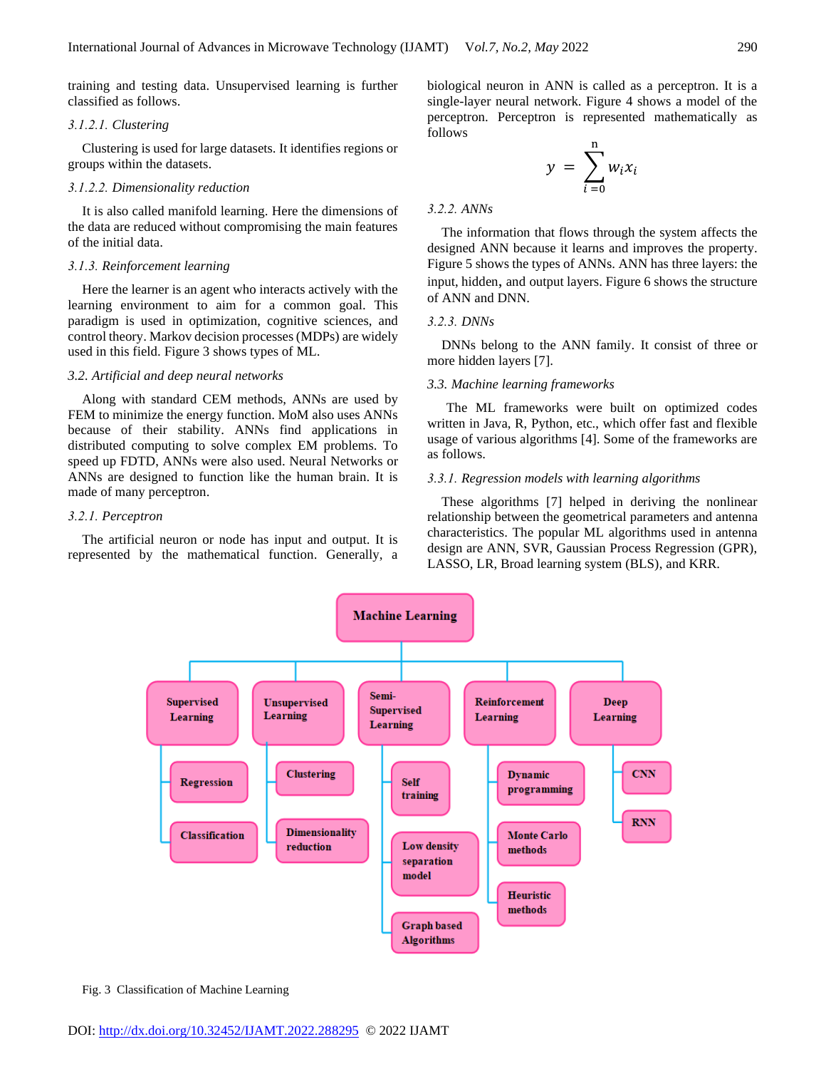training and testing data. Unsupervised learning is further classified as follows.

## *3.1.2.1. Clustering*

Clustering is used for large datasets. It identifies regions or groups within the datasets.

## *3.1.2.2. Dimensionality reduction*

It is also called manifold learning. Here the dimensions of the data are reduced without compromising the main features of the initial data.

#### *3.1.3. Reinforcement learning*

Here the learner is an agent who interacts actively with the learning environment to aim for a common goal. This paradigm is used in optimization, cognitive sciences, and control theory. Markov decision processes (MDPs) are widely used in this field. Figure 3 shows types of ML.

## *3.2. Artificial and deep neural networks*

Along with standard CEM methods, ANNs are used by FEM to minimize the energy function. MoM also uses ANNs because of their stability. ANNs find applications in distributed computing to solve complex EM problems. To speed up FDTD, ANNs were also used. Neural Networks or ANNs are designed to function like the human brain. It is made of many perceptron.

#### *3.2.1. Perceptron*

The artificial neuron or node has input and output. It is represented by the mathematical function. Generally, a biological neuron in ANN is called as a perceptron. It is a single-layer neural network. Figure 4 shows a model of the perceptron. Perceptron is represented mathematically as follows

$$
y = \sum_{i=0}^{n} w_i x_i
$$

#### *3.2.2. ANNs*

The information that flows through the system affects the designed ANN because it learns and improves the property. Figure 5 shows the types of ANNs. ANN has three layers: the input, hidden, and output layers. Figure 6 shows the structure of ANN and DNN.

#### *3.2.3. DNNs*

DNNs belong to the ANN family. It consist of three or more hidden layers [7].

#### *3.3. Machine learning frameworks*

The ML frameworks were built on optimized codes written in Java, R, Python, etc., which offer fast and flexible usage of various algorithms [4]. Some of the frameworks are as follows.

## *3.3.1. Regression models with learning algorithms*

These algorithms [7] helped in deriving the nonlinear relationship between the geometrical parameters and antenna characteristics. The popular ML algorithms used in antenna design are ANN, SVR, Gaussian Process Regression (GPR), LASSO, LR, Broad learning system (BLS), and KRR.



Fig. 3 Classification of Machine Learning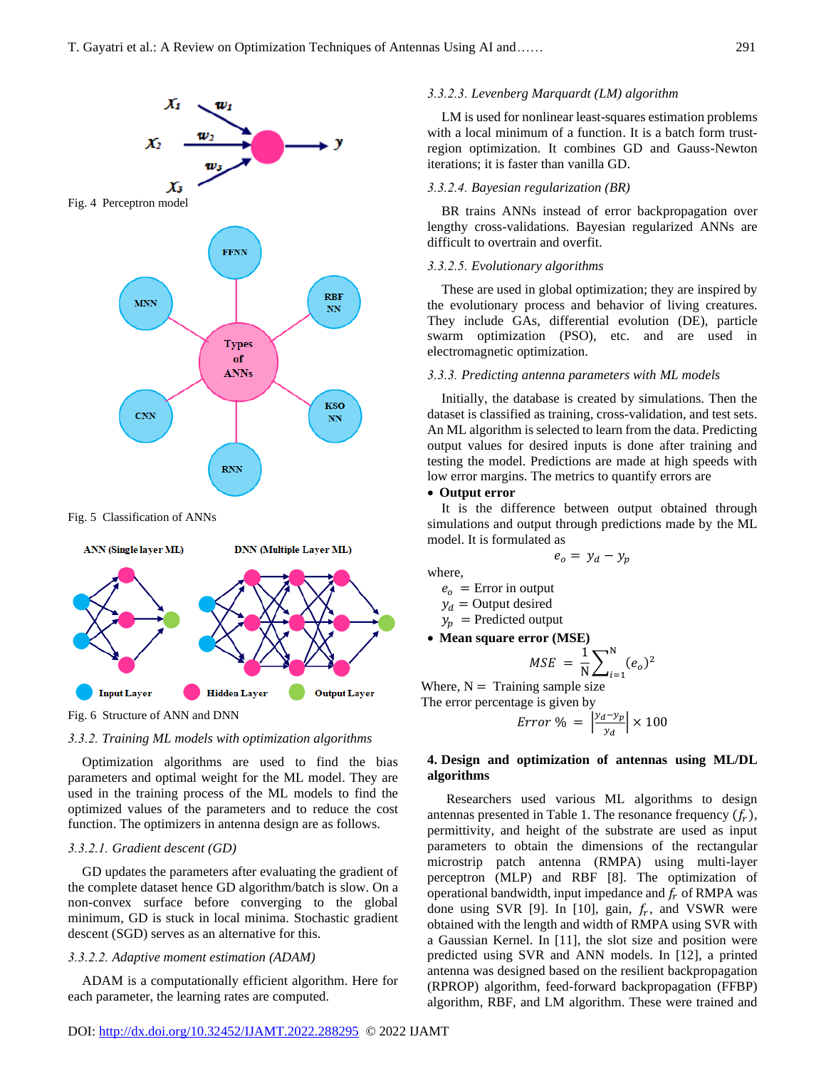

Fig. 5 Classification of ANNs



Fig. 6 Structure of ANN and DNN

## *3.3.2. Training ML models with optimization algorithms*

Optimization algorithms are used to find the bias parameters and optimal weight for the ML model. They are used in the training process of the ML models to find the optimized values of the parameters and to reduce the cost function. The optimizers in antenna design are as follows.

# *3.3.2.1. Gradient descent (GD)*

GD updates the parameters after evaluating the gradient of the complete dataset hence GD algorithm/batch is slow. On a non-convex surface before converging to the global minimum, GD is stuck in local minima. Stochastic gradient descent (SGD) serves as an alternative for this.

# *3.3.2.2. Adaptive moment estimation (ADAM)*

ADAM is a computationally efficient algorithm. Here for each parameter, the learning rates are computed.

# *3.3.2.3. Levenberg Marquardt (LM) algorithm*

LM is used for nonlinear least-squares estimation problems with a local minimum of a function. It is a batch form trustregion optimization. It combines GD and Gauss-Newton iterations; it is faster than vanilla GD.

# *3.3.2.4. Bayesian regularization (BR)*

BR trains ANNs instead of error backpropagation over lengthy cross-validations. Bayesian regularized ANNs are difficult to overtrain and overfit.

# *3.3.2.5. Evolutionary algorithms*

These are used in global optimization; they are inspired by the evolutionary process and behavior of living creatures. They include GAs, differential evolution (DE), particle swarm optimization (PSO), etc. and are used in electromagnetic optimization.

## *3.3.3. Predicting antenna parameters with ML models*

Initially, the database is created by simulations. Then the dataset is classified as training, cross-validation, and test sets. An ML algorithm is selected to learn from the data. Predicting output values for desired inputs is done after training and testing the model. Predictions are made at high speeds with low error margins. The metrics to quantify errors are

## • **Output error**

It is the difference between output obtained through simulations and output through predictions made by the ML model. It is formulated as

 $e_o = y_d - y_p$ 

where,

 $e_0$  = Error in output

$$
y_d = \text{Output desired}
$$

 $y_p$  = Predicted output

• **Mean square error (MSE)**

$$
MSE = \frac{1}{N} \sum_{i=1}^{N} (e_o)^2
$$

Where,  $N =$  Training sample size The error percentage is given by

Error % =  $\frac{y_d-y_p}{\sigma}$  $\left|\frac{1 - \nu p}{\nu_d}\right| \times 100$ 

## **4. Design and optimization of antennas using ML/DL algorithms**

Researchers used various ML algorithms to design antennas presented in Table 1. The resonance frequency  $(f_r)$ , permittivity, and height of the substrate are used as input parameters to obtain the dimensions of the rectangular microstrip patch antenna (RMPA) using multi-layer perceptron (MLP) and RBF [8]. The optimization of operational bandwidth, input impedance and  $f_r$  of RMPA was done using SVR [9]. In [10], gain,  $f_r$ , and VSWR were obtained with the length and width of RMPA using SVR with a Gaussian Kernel. In [11], the slot size and position were predicted using SVR and ANN models. In [12], a printed antenna was designed based on the resilient backpropagation (RPROP) algorithm, feed-forward backpropagation (FFBP) algorithm, RBF, and LM algorithm. These were trained and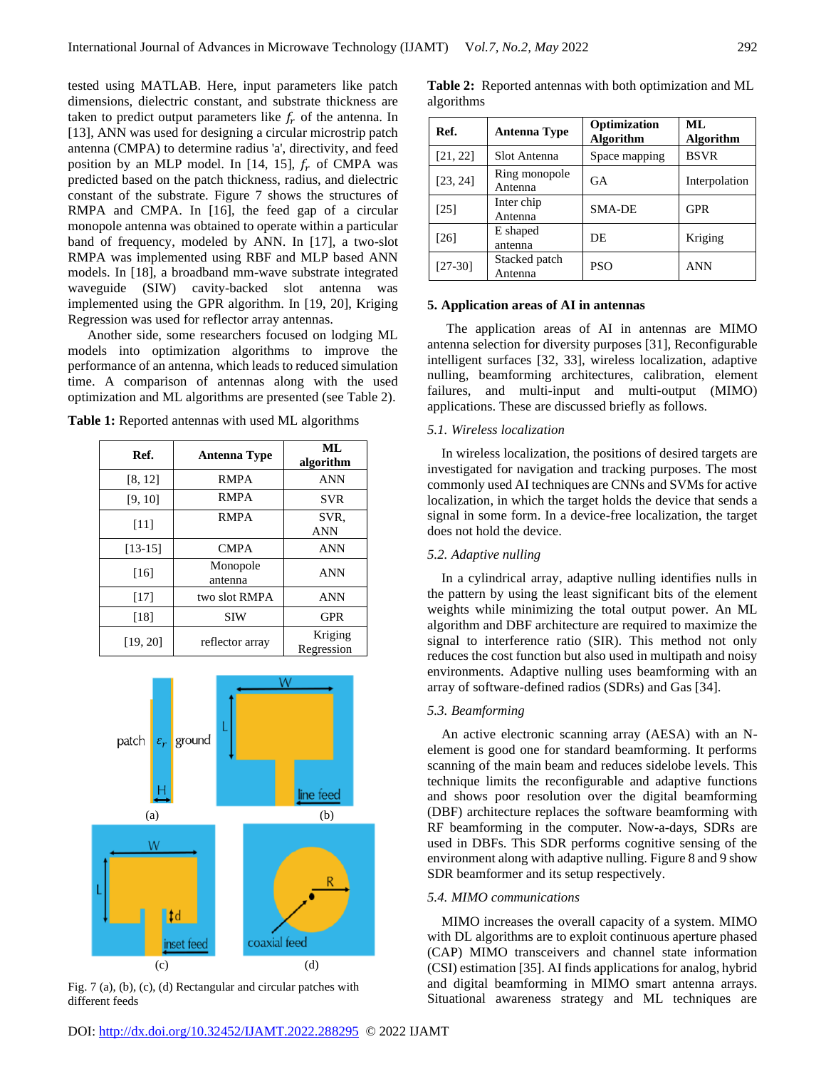tested using MATLAB. Here, input parameters like patch dimensions, dielectric constant, and substrate thickness are taken to predict output parameters like  $f_r$  of the antenna. In [13], ANN was used for designing a circular microstrip patch antenna (CMPA) to determine radius 'a', directivity, and feed position by an MLP model. In [14, 15],  $f_r$  of CMPA was predicted based on the patch thickness, radius, and dielectric constant of the substrate. Figure 7 shows the structures of RMPA and CMPA. In [16], the feed gap of a circular monopole antenna was obtained to operate within a particular band of frequency, modeled by ANN. In [17], a two-slot RMPA was implemented using RBF and MLP based ANN models. In [18], a broadband mm-wave substrate integrated waveguide (SIW) cavity-backed slot antenna was implemented using the GPR algorithm. In [19, 20], Kriging Regression was used for reflector array antennas.

Another side, some researchers focused on lodging ML models into optimization algorithms to improve the performance of an antenna, which leads to reduced simulation time. A comparison of antennas along with the used optimization and ML algorithms are presented (see Table 2).

**Table 1:** Reported antennas with used ML algorithms

| Ref.      | <b>Antenna Type</b> | ML<br>algorithm       |
|-----------|---------------------|-----------------------|
| [8, 12]   | <b>RMPA</b>         | <b>ANN</b>            |
| [9, 10]   | <b>RMPA</b>         | <b>SVR</b>            |
| [11]      | <b>RMPA</b>         | SVR.<br>ANN           |
| $[13-15]$ | <b>CMPA</b>         | <b>ANN</b>            |
| [16]      | Monopole<br>antenna | <b>ANN</b>            |
| $[17]$    | two slot RMPA       | <b>ANN</b>            |
| [18]      | <b>SIW</b>          | <b>GPR</b>            |
| [19, 20]  | reflector array     | Kriging<br>Regression |



Fig. 7 (a), (b), (c), (d) Rectangular and circular patches with different feeds

| Ref.      | <b>Antenna Type</b>      | Optimization<br><b>Algorithm</b> | ML<br><b>Algorithm</b> |
|-----------|--------------------------|----------------------------------|------------------------|
| [21, 22]  | Slot Antenna             | Space mapping                    | <b>BSVR</b>            |
| [23, 24]  | Ring monopole<br>Antenna | <b>GA</b>                        | Interpolation          |
| [25]      | Inter chip<br>Antenna    | <b>SMA-DE</b>                    | <b>GPR</b>             |
| [26]      | E shaped<br>antenna      | DE                               | Kriging                |
| $[27-30]$ | Stacked patch<br>Antenna | PSO                              | ANN                    |

**Table 2:** Reported antennas with both optimization and ML algorithms

#### **5. Application areas of AI in antennas**

The application areas of AI in antennas are MIMO antenna selection for diversity purposes [31], Reconfigurable intelligent surfaces [32, 33], wireless localization, adaptive nulling, beamforming architectures, calibration, element failures, and multi-input and multi-output (MIMO) applications. These are discussed briefly as follows.

#### *5.1. Wireless localization*

In wireless localization, the positions of desired targets are investigated for navigation and tracking purposes. The most commonly used AI techniques are CNNs and SVMs for active localization, in which the target holds the device that sends a signal in some form. In a device-free localization, the target does not hold the device.

## *5.2. Adaptive nulling*

In a cylindrical array, adaptive nulling identifies nulls in the pattern by using the least significant bits of the element weights while minimizing the total output power. An ML algorithm and DBF architecture are required to maximize the signal to interference ratio (SIR). This method not only reduces the cost function but also used in multipath and noisy environments. Adaptive nulling uses beamforming with an array of software-defined radios (SDRs) and Gas [34].

## *5.3. Beamforming*

An active electronic scanning array (AESA) with an Nelement is good one for standard beamforming. It performs scanning of the main beam and reduces sidelobe levels. This technique limits the reconfigurable and adaptive functions and shows poor resolution over the digital beamforming (DBF) architecture replaces the software beamforming with RF beamforming in the computer. Now-a-days, SDRs are used in DBFs. This SDR performs cognitive sensing of the environment along with adaptive nulling. Figure 8 and 9 show SDR beamformer and its setup respectively.

## *5.4. MIMO communications*

MIMO increases the overall capacity of a system. MIMO with DL algorithms are to exploit continuous aperture phased (CAP) MIMO transceivers and channel state information (CSI) estimation [35]. AI finds applications for analog, hybrid and digital beamforming in MIMO smart antenna arrays. Situational awareness strategy and ML techniques are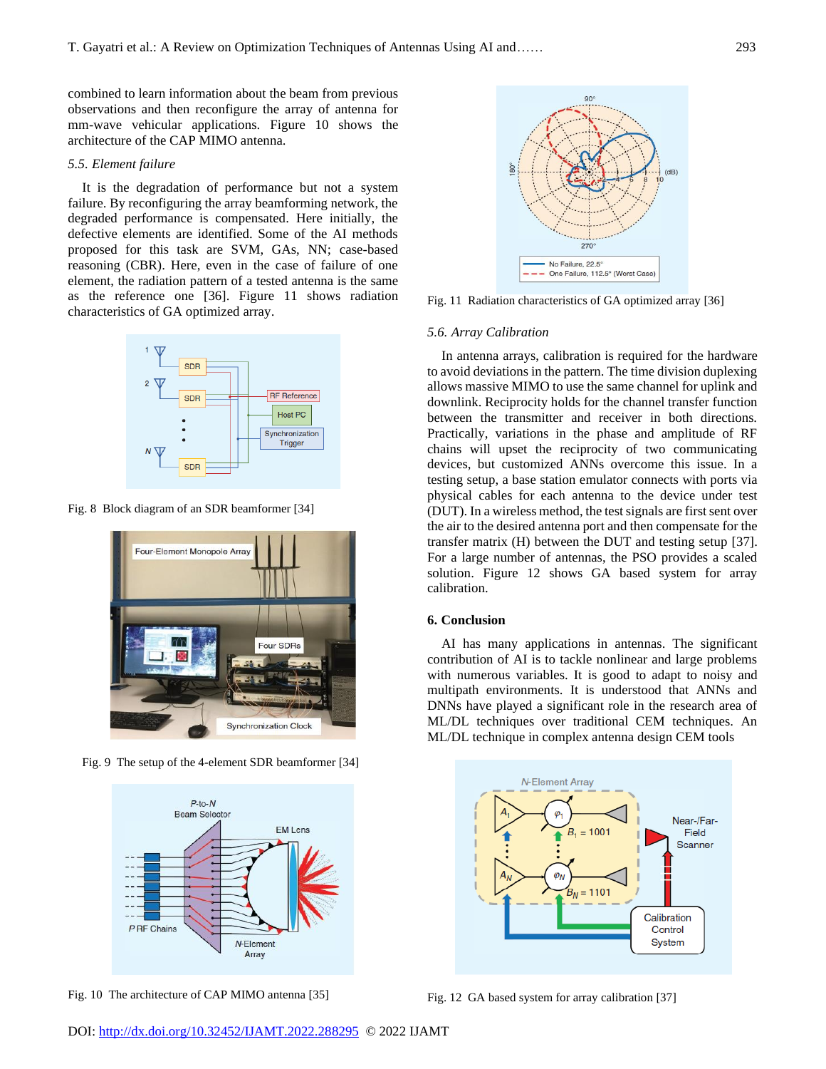combined to learn information about the beam from previous observations and then reconfigure the array of antenna for mm-wave vehicular applications. Figure 10 shows the architecture of the CAP MIMO antenna.

## *5.5. Element failure*

It is the degradation of performance but not a system failure. By reconfiguring the array beamforming network, the degraded performance is compensated. Here initially, the defective elements are identified. Some of the AI methods proposed for this task are SVM, GAs, NN; case-based reasoning (CBR). Here, even in the case of failure of one element, the radiation pattern of a tested antenna is the same as the reference one [36]. Figure 11 shows radiation characteristics of GA optimized array.



Fig. 8 Block diagram of an SDR beamformer [34]



Fig. 9 The setup of the 4-element SDR beamformer [34]



Fig. 10 The architecture of CAP MIMO antenna [35]



Fig. 11 Radiation characteristics of GA optimized array [36]

#### *5.6. Array Calibration*

In antenna arrays, calibration is required for the hardware to avoid deviations in the pattern. The time division duplexing allows massive MIMO to use the same channel for uplink and downlink. Reciprocity holds for the channel transfer function between the transmitter and receiver in both directions. Practically, variations in the phase and amplitude of RF chains will upset the reciprocity of two communicating devices, but customized ANNs overcome this issue. In a testing setup, a base station emulator connects with ports via physical cables for each antenna to the device under test (DUT). In a wireless method, the test signals are first sent over the air to the desired antenna port and then compensate for the transfer matrix (H) between the DUT and testing setup [37]. For a large number of antennas, the PSO provides a scaled solution. Figure 12 shows GA based system for array calibration.

#### **6. Conclusion**

AI has many applications in antennas. The significant contribution of AI is to tackle nonlinear and large problems with numerous variables. It is good to adapt to noisy and multipath environments. It is understood that ANNs and DNNs have played a significant role in the research area of ML/DL techniques over traditional CEM techniques. An ML/DL technique in complex antenna design CEM tools



Fig. 12 GA based system for array calibration [37]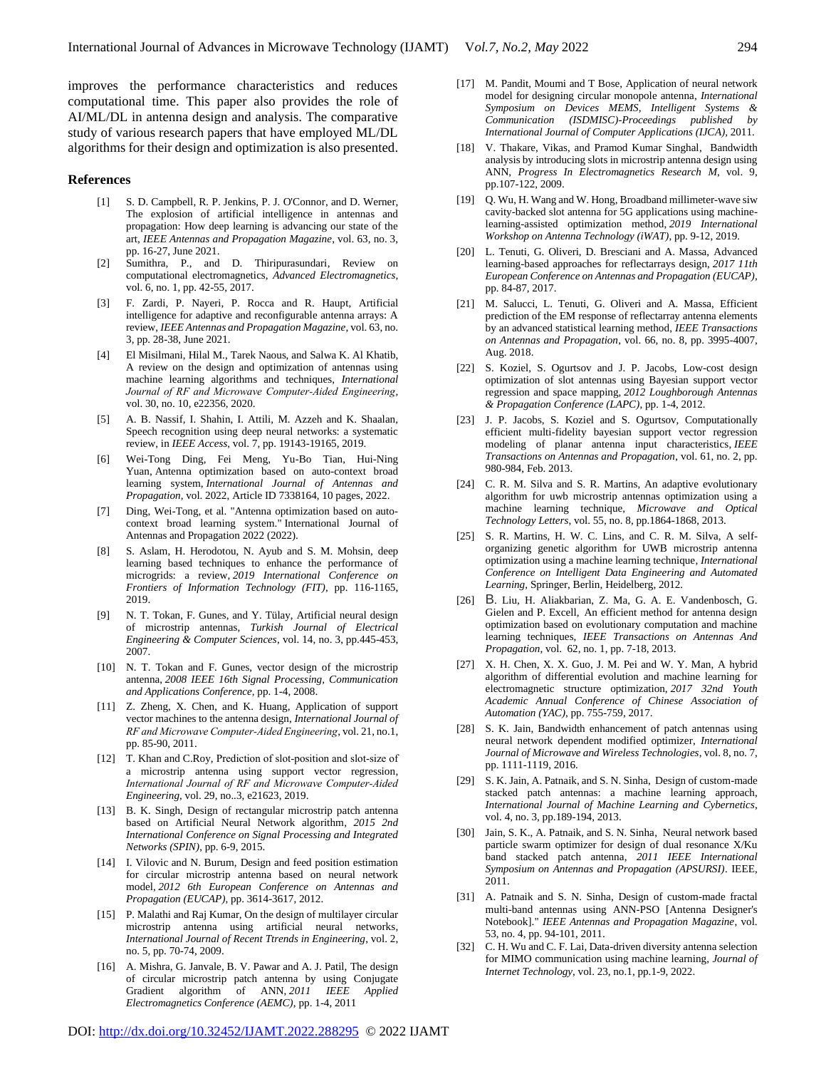improves the performance characteristics and reduces computational time. This paper also provides the role of AI/ML/DL in antenna design and analysis. The comparative study of various research papers that have employed ML/DL algorithms for their design and optimization is also presented.

#### **References**

- [1] S. D. Campbell, R. P. Jenkins, P. J. O'Connor, and D. Werner, The explosion of artificial intelligence in antennas and propagation: How deep learning is advancing our state of the art, *IEEE Antennas and Propagation Magazine*, vol. 63, no. 3, pp. 16-27, June 2021.
- [2] Sumithra, P., and D. Thiripurasundari, Review on computational electromagnetics, *Advanced Electromagnetics*, vol. 6, no. 1, pp. 42-55, 2017.
- [3] F. Zardi, P. Nayeri, P. Rocca and R. Haupt, Artificial intelligence for adaptive and reconfigurable antenna arrays: A review, *IEEE Antennas and Propagation Magazine*, vol. 63, no. 3, pp. 28-38, June 2021.
- [4] El Misilmani, Hilal M., Tarek Naous, and Salwa K. Al Khatib, A review on the design and optimization of antennas using machine learning algorithms and techniques, *International Journal of RF and Microwave Computer‐Aided Engineering,*  vol. 30, no. 10, e22356, 2020.
- [5] A. B. Nassif, I. Shahin, I. Attili, M. Azzeh and K. Shaalan, Speech recognition using deep neural networks: a systematic review, in *IEEE Access*, vol. 7, pp. 19143-19165, 2019.
- [6] Wei-Tong Ding, Fei Meng, Yu-Bo Tian, Hui-Ning Yuan, Antenna optimization based on auto-context broad learning system, *International Journal of Antennas and Propagation*, vol. 2022, Article ID 7338164, 10 pages, 2022.
- [7] Ding, Wei-Tong, et al. "Antenna optimization based on autocontext broad learning system." International Journal of Antennas and Propagation 2022 (2022).
- S. Aslam, H. Herodotou, N. Ayub and S. M. Mohsin, deep learning based techniques to enhance the performance of microgrids: a review, *2019 International Conference on Frontiers of Information Technology (FIT)*, pp. 116-1165, 2019.
- [9] N. T. Tokan, F. Gunes, and Y. Tülay, Artificial neural design of microstrip antennas, *Turkish Journal of Electrical Engineering & Computer Sciences*, vol. 14, no. 3, pp.445-453, 2007.
- [10] N. T. Tokan and F. Gunes, vector design of the microstrip antenna, *2008 IEEE 16th Signal Processing, Communication and Applications Conference*, pp. 1-4, 2008.
- [11] Z. Zheng, X. Chen, and K. Huang, Application of support vector machines to the antenna design, *International Journal of RF and Microwave Computer‐Aided Engineering*, vol. 21, no.1, pp. 85-90, 2011.
- [12] T. Khan and C.Roy, Prediction of slot-position and slot-size of a microstrip antenna using support vector regression, *International Journal of RF and Microwave Computer‐Aided Engineering,* vol. 29, no..3, e21623, 2019.
- [13] B. K. Singh, Design of rectangular microstrip patch antenna based on Artificial Neural Network algorithm, *2015 2nd International Conference on Signal Processing and Integrated Networks (SPIN)*, pp. 6-9, 2015.
- [14] I. Vilovic and N. Burum, Design and feed position estimation for circular microstrip antenna based on neural network model, *2012 6th European Conference on Antennas and Propagation (EUCAP)*, pp. 3614-3617, 2012.
- [15] P. Malathi and Raj Kumar, On the design of multilayer circular microstrip antenna using artificial neural networks, *International Journal of Recent Ttrends in Engineering*, vol. 2, no. 5, pp. 70-74, 2009.
- [16] A. Mishra, G. Janvale, B. V. Pawar and A. J. Patil, The design of circular microstrip patch antenna by using Conjugate Gradient algorithm of ANN, *2011 IEEE Applied Electromagnetics Conference (AEMC)*, pp. 1-4, 2011
- [17] M. Pandit, Moumi and T Bose, Application of neural network model for designing circular monopole antenna, *International Symposium on Devices MEMS, Intelligent Systems & Communication (ISDMISC)-Proceedings published by International Journal of Computer Applications (IJCA),* 2011.
- [18] V. Thakare, Vikas, and Pramod Kumar Singhal, Bandwidth analysis by introducing slots in microstrip antenna design using ANN, *Progress In Electromagnetics Research M*, vol. 9, pp.107-122, 2009.
- [19] Q. Wu, H. Wang and W. Hong, Broadband millimeter-wave siw cavity-backed slot antenna for 5G applications using machinelearning-assisted optimization method, *2019 International Workshop on Antenna Technology (iWAT)*, pp. 9-12, 2019.
- [20] L. Tenuti, G. Oliveri, D. Bresciani and A. Massa, Advanced learning-based approaches for reflectarrays design, *2017 11th European Conference on Antennas and Propagation (EUCAP)*, pp. 84-87, 2017.
- [21] M. Salucci, L. Tenuti, G. Oliveri and A. Massa, Efficient prediction of the EM response of reflectarray antenna elements by an advanced statistical learning method, *IEEE Transactions on Antennas and Propagation*, vol. 66, no. 8, pp. 3995-4007, Aug. 2018.
- [22] S. Koziel, S. Ogurtsov and J. P. Jacobs, Low-cost design optimization of slot antennas using Bayesian support vector regression and space mapping, *2012 Loughborough Antennas & Propagation Conference (LAPC)*, pp. 1-4, 2012.
- [23] J. P. Jacobs, S. Koziel and S. Ogurtsov, Computationally efficient multi-fidelity bayesian support vector regression modeling of planar antenna input characteristics, *IEEE Transactions on Antennas and Propagation*, vol. 61, no. 2, pp. 980-984, Feb. 2013.
- [24] C. R. M. Silva and S. R. Martins, An adaptive evolutionary algorithm for uwb microstrip antennas optimization using a machine learning technique, *Microwave and Optical Technology Letters*, vol. 55, no. 8, pp.1864-1868, 2013.
- [25] S. R. Martins, H. W. C. Lins, and C. R. M. Silva, A selforganizing genetic algorithm for UWB microstrip antenna optimization using a machine learning technique, *International Conference on Intelligent Data Engineering and Automated Learning*, Springer, Berlin, Heidelberg, 2012.
- [26] B. Liu, H. Aliakbarian, Z. Ma, G. A. E. Vandenbosch, G. Gielen and P. Excell, An efficient method for antenna design optimization based on evolutionary computation and machine learning techniques, *IEEE Transactions on Antennas And Propagation*, vol. 62, no. 1, pp. 7-18, 2013.
- [27] X. H. Chen, X. X. Guo, J. M. Pei and W. Y. Man, A hybrid algorithm of differential evolution and machine learning for electromagnetic structure optimization, *2017 32nd Youth Academic Annual Conference of Chinese Association of Automation (YAC)*, pp. 755-759, 2017.
- [28] S. K. Jain, Bandwidth enhancement of patch antennas using neural network dependent modified optimizer, *International Journal of Microwave and Wireless Technologies*, vol. 8, no. 7, pp. 1111-1119, 2016.
- [29] S. K. Jain, A. Patnaik, and S. N. Sinha, Design of custom-made stacked patch antennas: a machine learning approach, *International Journal of Machine Learning and Cybernetics*, vol. 4, no. 3, pp.189-194, 2013.
- [30] Jain, S. K., A. Patnaik, and S. N. Sinha, Neural network based particle swarm optimizer for design of dual resonance X/Ku band stacked patch antenna, *2011 IEEE International Symposium on Antennas and Propagation (APSURSI)*. IEEE, 2011.
- [31] A. Patnaik and S. N. Sinha, Design of custom-made fractal multi-band antennas using ANN-PSO [Antenna Designer's Notebook]." *IEEE Antennas and Propagation Magazine*, vol. 53, no. 4, pp. 94-101, 2011.
- [32] C. H. Wu and C. F. Lai, Data-driven diversity antenna selection for MIMO communication using machine learning, *Journal of Internet Technology*, vol. 23, no.1, pp.1-9, 2022.